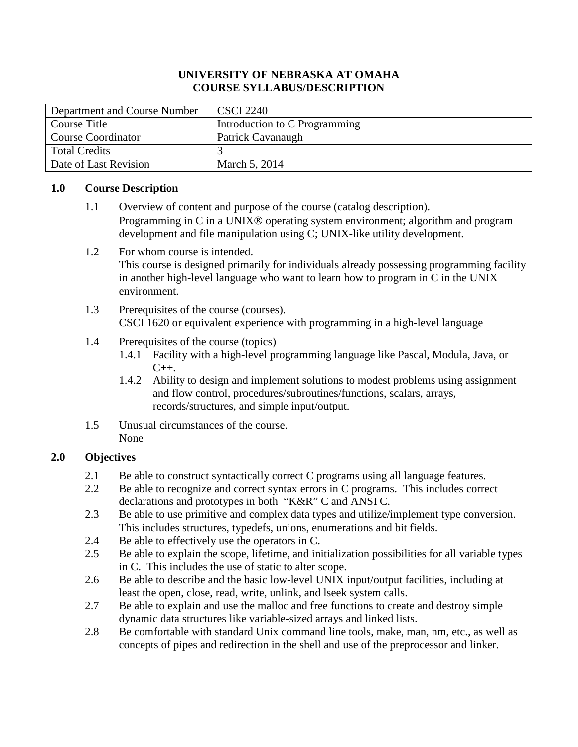## **UNIVERSITY OF NEBRASKA AT OMAHA COURSE SYLLABUS/DESCRIPTION**

| Department and Course Number | <b>CSCI 2240</b>              |
|------------------------------|-------------------------------|
| Course Title                 | Introduction to C Programming |
| Course Coordinator           | Patrick Cavanaugh             |
| Total Credits                |                               |
| Date of Last Revision        | March 5, 2014                 |

#### **1.0 Course Description**

- 1.1 Overview of content and purpose of the course (catalog description). Programming in C in a UNIX<sup>®</sup> operating system environment; algorithm and program development and file manipulation using C; UNIX-like utility development.
- 1.2 For whom course is intended. This course is designed primarily for individuals already possessing programming facility in another high-level language who want to learn how to program in C in the UNIX environment.
- 1.3 Prerequisites of the course (courses). CSCI 1620 or equivalent experience with programming in a high-level language
- 1.4 Prerequisites of the course (topics)
	- 1.4.1 Facility with a high-level programming language like Pascal, Modula, Java, or  $C_{++}$ .
	- 1.4.2 Ability to design and implement solutions to modest problems using assignment and flow control, procedures/subroutines/functions, scalars, arrays, records/structures, and simple input/output.
- 1.5 Unusual circumstances of the course. None

## **2.0 Objectives**

- 2.1 Be able to construct syntactically correct C programs using all language features.
- 2.2 Be able to recognize and correct syntax errors in C programs. This includes correct declarations and prototypes in both "K&R" C and ANSI C.
- 2.3 Be able to use primitive and complex data types and utilize/implement type conversion. This includes structures, typedefs, unions, enumerations and bit fields.
- 2.4 Be able to effectively use the operators in C.
- 2.5 Be able to explain the scope, lifetime, and initialization possibilities for all variable types in C. This includes the use of static to alter scope.
- 2.6 Be able to describe and the basic low-level UNIX input/output facilities, including at least the open, close, read, write, unlink, and lseek system calls.
- 2.7 Be able to explain and use the malloc and free functions to create and destroy simple dynamic data structures like variable-sized arrays and linked lists.
- 2.8 Be comfortable with standard Unix command line tools, make, man, nm, etc., as well as concepts of pipes and redirection in the shell and use of the preprocessor and linker.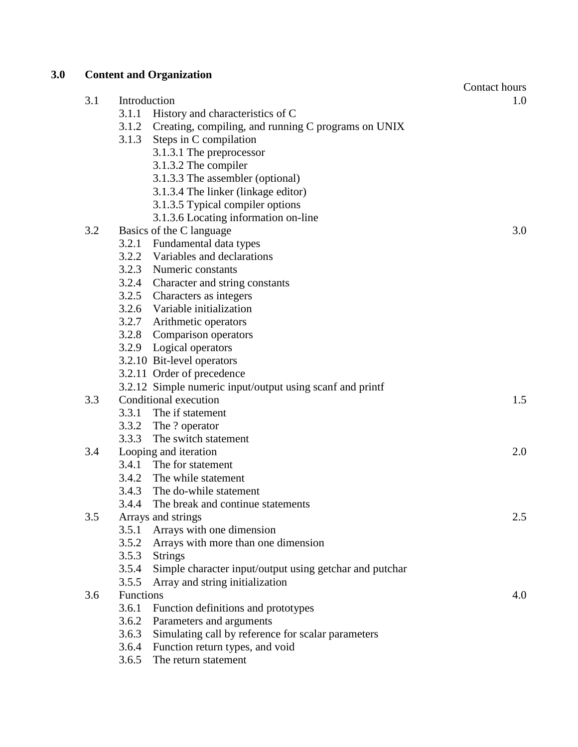| 3.0 |     | <b>Content and Organization</b> |                                                           |               |
|-----|-----|---------------------------------|-----------------------------------------------------------|---------------|
|     |     |                                 |                                                           | Contact hours |
|     | 3.1 | Introduction                    |                                                           | 1.0           |
|     |     | 3.1.1                           | History and characteristics of C                          |               |
|     |     | 3.1.2                           | Creating, compiling, and running C programs on UNIX       |               |
|     |     | 3.1.3                           | Steps in C compilation                                    |               |
|     |     |                                 | 3.1.3.1 The preprocessor                                  |               |
|     |     |                                 | 3.1.3.2 The compiler                                      |               |
|     |     |                                 | 3.1.3.3 The assembler (optional)                          |               |
|     |     |                                 | 3.1.3.4 The linker (linkage editor)                       |               |
|     |     |                                 | 3.1.3.5 Typical compiler options                          |               |
|     |     |                                 | 3.1.3.6 Locating information on-line                      |               |
|     | 3.2 |                                 | Basics of the C language                                  | 3.0           |
|     |     | 3.2.1                           | Fundamental data types                                    |               |
|     |     |                                 | 3.2.2 Variables and declarations                          |               |
|     |     |                                 | 3.2.3 Numeric constants                                   |               |
|     |     |                                 | 3.2.4 Character and string constants                      |               |
|     |     |                                 | 3.2.5 Characters as integers                              |               |
|     |     |                                 | 3.2.6 Variable initialization                             |               |
|     |     |                                 | 3.2.7 Arithmetic operators                                |               |
|     |     |                                 | 3.2.8 Comparison operators                                |               |
|     |     |                                 | 3.2.9 Logical operators                                   |               |
|     |     |                                 | 3.2.10 Bit-level operators                                |               |
|     |     |                                 | 3.2.11 Order of precedence                                |               |
|     |     |                                 | 3.2.12 Simple numeric input/output using scanf and printf |               |
|     | 3.3 |                                 | Conditional execution                                     | 1.5           |
|     |     | 3.3.1                           | The if statement                                          |               |
|     |     |                                 | 3.3.2 The ? operator                                      |               |
|     |     | 3.3.3                           | The switch statement                                      |               |
|     | 3.4 |                                 | Looping and iteration                                     | 2.0           |
|     |     | 3.4.1                           | The for statement                                         |               |
|     |     |                                 | 3.4.2 The while statement                                 |               |
|     |     | 3.4.3                           | The do-while statement                                    |               |
|     |     | 3.4.4                           | The break and continue statements                         |               |
|     | 3.5 |                                 | Arrays and strings                                        | 2.5           |
|     |     | 3.5.1                           | Arrays with one dimension                                 |               |
|     |     | 3.5.2                           | Arrays with more than one dimension                       |               |
|     |     | 3.5.3                           | <b>Strings</b>                                            |               |
|     |     | 3.5.4                           | Simple character input/output using getchar and putchar   |               |
|     |     | 3.5.5                           | Array and string initialization                           |               |
|     | 3.6 | Functions                       |                                                           | 4.0           |
|     |     | 3.6.1                           | Function definitions and prototypes                       |               |
|     |     | 3.6.2                           | Parameters and arguments                                  |               |
|     |     | 3.6.3                           | Simulating call by reference for scalar parameters        |               |
|     |     | 3.6.4                           | Function return types, and void                           |               |

3.6.5 The return statement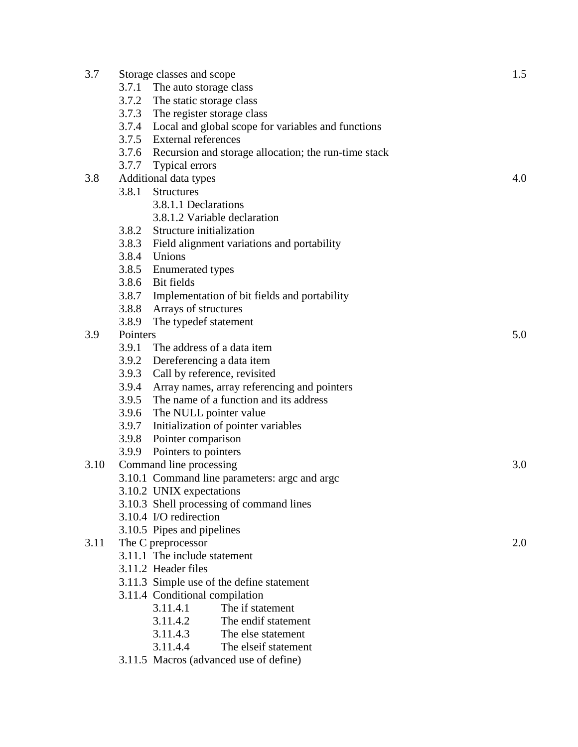| 3.7  | Storage classes and scope                                      | 1.5 |
|------|----------------------------------------------------------------|-----|
|      | 3.7.1 The auto storage class                                   |     |
|      | 3.7.2 The static storage class                                 |     |
|      | 3.7.3<br>The register storage class                            |     |
|      | 3.7.4 Local and global scope for variables and functions       |     |
|      | 3.7.5 External references                                      |     |
|      | 3.7.6 Recursion and storage allocation; the run-time stack     |     |
|      | 3.7.7<br>Typical errors                                        |     |
| 3.8  | Additional data types                                          | 4.0 |
|      | 3.8.1<br><b>Structures</b>                                     |     |
|      | 3.8.1.1 Declarations                                           |     |
|      | 3.8.1.2 Variable declaration                                   |     |
|      | 3.8.2 Structure initialization                                 |     |
|      | 3.8.3<br>Field alignment variations and portability            |     |
|      | 3.8.4<br>Unions                                                |     |
|      | 3.8.5 Enumerated types                                         |     |
|      | 3.8.6 Bit fields                                               |     |
|      | 3.8.7<br>Implementation of bit fields and portability          |     |
|      | 3.8.8<br>Arrays of structures                                  |     |
|      | 3.8.9<br>The typedef statement                                 |     |
| 3.9  | Pointers                                                       | 5.0 |
|      | 3.9.1<br>The address of a data item                            |     |
|      | 3.9.2 Dereferencing a data item                                |     |
|      | 3.9.3<br>Call by reference, revisited                          |     |
|      | 3.9.4<br>Array names, array referencing and pointers           |     |
|      | The name of a function and its address<br>3.9.5                |     |
|      | 3.9.6<br>The NULL pointer value                                |     |
|      | 3.9.7<br>Initialization of pointer variables                   |     |
|      | 3.9.8 Pointer comparison                                       |     |
|      | 3.9.9<br>Pointers to pointers                                  |     |
| 3.10 | Command line processing                                        | 3.0 |
|      | 3.10.1 Command line parameters: argc and argc                  |     |
|      | 3.10.2 UNIX expectations                                       |     |
|      | 3.10.3 Shell processing of command lines                       |     |
|      | 3.10.4 I/O redirection                                         |     |
|      | 3.10.5 Pipes and pipelines                                     |     |
| 3.11 | The C preprocessor                                             | 2.0 |
|      | 3.11.1 The include statement                                   |     |
|      | 3.11.2 Header files                                            |     |
|      | 3.11.3 Simple use of the define statement                      |     |
|      | 3.11.4 Conditional compilation<br>3.11.4.1<br>The if statement |     |
|      | The endif statement                                            |     |
|      | 3.11.4.2<br>3.11.4.3<br>The else statement                     |     |
|      | 3.11.4.4<br>The elseif statement                               |     |
|      | 3.11.5 Macros (advanced use of define)                         |     |
|      |                                                                |     |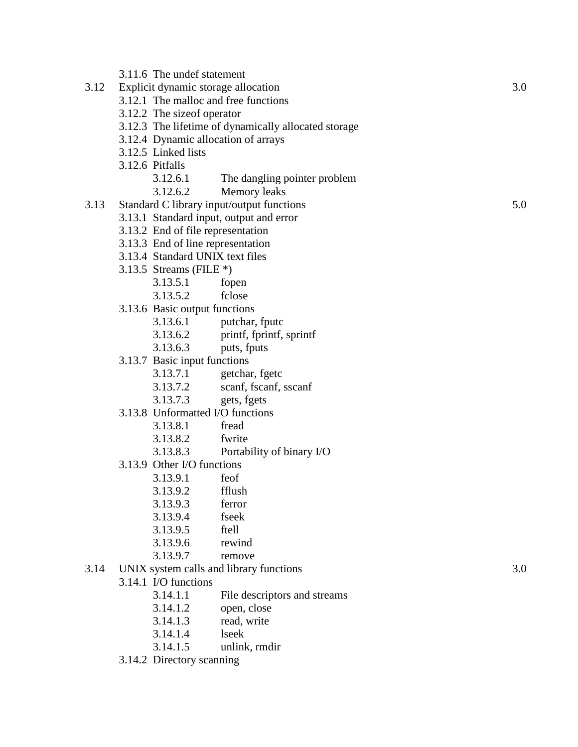| 3.12 | Explicit dynamic storage allocation                  |     |  |
|------|------------------------------------------------------|-----|--|
|      | 3.12.1 The malloc and free functions                 |     |  |
|      | 3.12.2 The size of operator                          |     |  |
|      | 3.12.3 The lifetime of dynamically allocated storage |     |  |
|      | 3.12.4 Dynamic allocation of arrays                  |     |  |
|      | 3.12.5 Linked lists                                  |     |  |
|      | 3.12.6 Pitfalls                                      |     |  |
|      | 3.12.6.1<br>The dangling pointer problem             |     |  |
|      | 3.12.6.2<br>Memory leaks                             |     |  |
| 3.13 | Standard C library input/output functions            | 5.0 |  |
|      | 3.13.1 Standard input, output and error              |     |  |
|      | 3.13.2 End of file representation                    |     |  |
|      | 3.13.3 End of line representation                    |     |  |
|      | 3.13.4 Standard UNIX text files                      |     |  |
|      | 3.13.5 Streams (FILE $*$ )                           |     |  |

- 3.13.5.1 fopen
- 3.13.5.2 fclose
- 3.13.6 Basic output functions

3.11.6 The undef statement

- 3.13.6.1 putchar, fputc
- 3.13.6.2 printf, fprintf, sprintf
- 3.13.6.3 puts, fputs
- 3.13.7 Basic input functions
	- 3.13.7.1 getchar, fgetc
	- 3.13.7.2 scanf, fscanf, sscanf
	- 3.13.7.3 gets, fgets
- 3.13.8 Unformatted I/O functions
	- 3.13.8.1 fread
	- 3.13.8.2 fwrite
	- 3.13.8.3 Portability of binary I/O
- 3.13.9 Other I/O functions<br>3.13.9.1 feof
	- $3.13.9.1$ 
		- 3.13.9.2 fflush
		- 3.13.9.3 ferror
		- 3.13.9.4 fseek
		- 3.13.9.5 ftell
		- 3.13.9.6 rewind
		- 3.13.9.7 remove
- 3.14 UNIX system calls and library functions 3.0
	- 3.14.1 I/O functions
		- 3.14.1.1 File descriptors and streams<br>3.14.1.2 open, close
		- open, close
		- 3.14.1.3 read, write
		- 3.14.1.4 lseek
		- 3.14.1.5 unlink, rmdir
	- 3.14.2 Directory scanning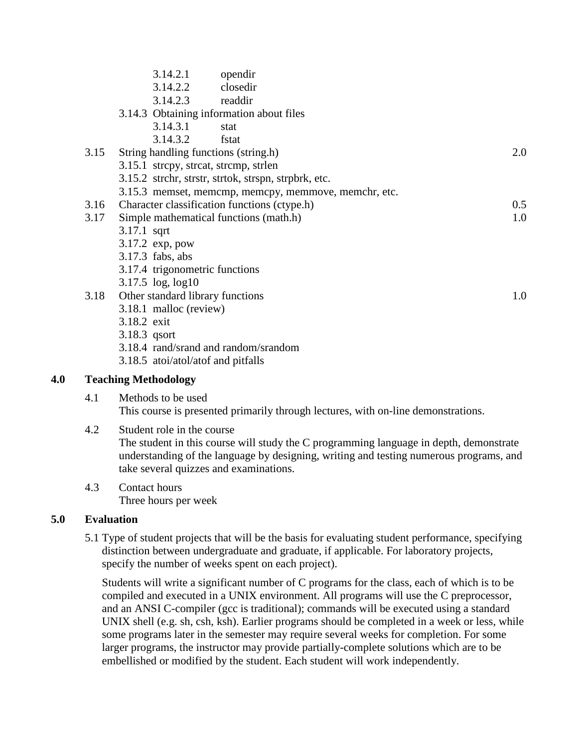| 3.14.2.1          | opendir  |                                                                                                                                                                                                                                                                                                                                                                                                                                                                                                                                                   |
|-------------------|----------|---------------------------------------------------------------------------------------------------------------------------------------------------------------------------------------------------------------------------------------------------------------------------------------------------------------------------------------------------------------------------------------------------------------------------------------------------------------------------------------------------------------------------------------------------|
|                   | closedir |                                                                                                                                                                                                                                                                                                                                                                                                                                                                                                                                                   |
|                   |          |                                                                                                                                                                                                                                                                                                                                                                                                                                                                                                                                                   |
|                   |          |                                                                                                                                                                                                                                                                                                                                                                                                                                                                                                                                                   |
| 3.14.3.1          | stat     |                                                                                                                                                                                                                                                                                                                                                                                                                                                                                                                                                   |
| 3.14.3.2          | fstat    |                                                                                                                                                                                                                                                                                                                                                                                                                                                                                                                                                   |
|                   |          | 2.0                                                                                                                                                                                                                                                                                                                                                                                                                                                                                                                                               |
|                   |          |                                                                                                                                                                                                                                                                                                                                                                                                                                                                                                                                                   |
|                   |          |                                                                                                                                                                                                                                                                                                                                                                                                                                                                                                                                                   |
|                   |          |                                                                                                                                                                                                                                                                                                                                                                                                                                                                                                                                                   |
|                   |          | 0.5                                                                                                                                                                                                                                                                                                                                                                                                                                                                                                                                               |
|                   |          | 1.0                                                                                                                                                                                                                                                                                                                                                                                                                                                                                                                                               |
| 3.17.1 sqrt       |          |                                                                                                                                                                                                                                                                                                                                                                                                                                                                                                                                                   |
| 3.17.2 exp, pow   |          |                                                                                                                                                                                                                                                                                                                                                                                                                                                                                                                                                   |
| 3.17.3 fabs, abs  |          |                                                                                                                                                                                                                                                                                                                                                                                                                                                                                                                                                   |
|                   |          |                                                                                                                                                                                                                                                                                                                                                                                                                                                                                                                                                   |
| 3.17.5 log, log10 |          |                                                                                                                                                                                                                                                                                                                                                                                                                                                                                                                                                   |
|                   |          | 1.0                                                                                                                                                                                                                                                                                                                                                                                                                                                                                                                                               |
|                   |          |                                                                                                                                                                                                                                                                                                                                                                                                                                                                                                                                                   |
| 3.18.2 exit       |          |                                                                                                                                                                                                                                                                                                                                                                                                                                                                                                                                                   |
| $3.18.3$ qsort    |          |                                                                                                                                                                                                                                                                                                                                                                                                                                                                                                                                                   |
|                   |          |                                                                                                                                                                                                                                                                                                                                                                                                                                                                                                                                                   |
|                   |          |                                                                                                                                                                                                                                                                                                                                                                                                                                                                                                                                                   |
|                   |          | 3.14.2.2<br>3.14.2.3 readdin<br>3.14.3 Obtaining information about files<br>String handling functions (string.h)<br>3.15.1 strcpy, strcat, strcmp, strlen<br>3.15.2 strchr, strstr, strtok, strspn, strpbrk, etc.<br>3.15.3 memset, memcmp, memcpy, memmove, memchr, etc.<br>Character classification functions (ctype.h)<br>Simple mathematical functions (math.h)<br>3.17.4 trigonometric functions<br>Other standard library functions<br>3.18.1 malloc (review)<br>3.18.4 rand/srand and random/srandom<br>3.18.5 atoi/atol/atof and pitfalls |

#### **4.0 Teaching Methodology**

#### 4.1 Methods to be used This course is presented primarily through lectures, with on-line demonstrations.

## 4.2 Student role in the course The student in this course will study the C programming language in depth, demonstrate understanding of the language by designing, writing and testing numerous programs, and take several quizzes and examinations.

4.3 Contact hours Three hours per week

# **5.0 Evaluation**

5.1 Type of student projects that will be the basis for evaluating student performance, specifying distinction between undergraduate and graduate, if applicable. For laboratory projects, specify the number of weeks spent on each project).

Students will write a significant number of C programs for the class, each of which is to be compiled and executed in a UNIX environment. All programs will use the C preprocessor, and an ANSI C-compiler (gcc is traditional); commands will be executed using a standard UNIX shell (e.g. sh, csh, ksh). Earlier programs should be completed in a week or less, while some programs later in the semester may require several weeks for completion. For some larger programs, the instructor may provide partially-complete solutions which are to be embellished or modified by the student. Each student will work independently.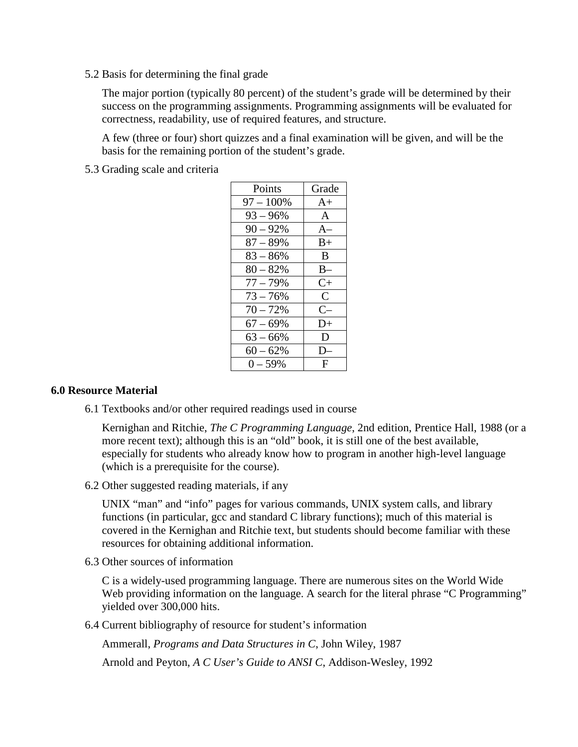5.2 Basis for determining the final grade

The major portion (typically 80 percent) of the student's grade will be determined by their success on the programming assignments. Programming assignments will be evaluated for correctness, readability, use of required features, and structure.

A few (three or four) short quizzes and a final examination will be given, and will be the basis for the remaining portion of the student's grade.

5.3 Grading scale and criteria

| Points       | Grade         |
|--------------|---------------|
| $97 - 100\%$ | $A+$          |
| $93 - 96\%$  | $\mathsf{A}$  |
| $90 - 92%$   | $A-$          |
| $87 - 89%$   | $B+$          |
| $83 - 86%$   | B             |
| $80 - 82%$   | $B-$          |
| $77 - 79%$   | $C+$          |
| $73 - 76%$   | $\mathcal{C}$ |
| $70 - 72%$   | $C-$          |
| $67 - 69%$   | $D+$          |
| $63 - 66\%$  | D             |
| $60 - 62%$   | I)            |
| $0 - 59\%$   | F             |

#### **6.0 Resource Material**

6.1 Textbooks and/or other required readings used in course

Kernighan and Ritchie, *The C Programming Language*, 2nd edition, Prentice Hall, 1988 (or a more recent text); although this is an "old" book, it is still one of the best available, especially for students who already know how to program in another high-level language (which is a prerequisite for the course).

6.2 Other suggested reading materials, if any

UNIX "man" and "info" pages for various commands, UNIX system calls, and library functions (in particular, gcc and standard C library functions); much of this material is covered in the Kernighan and Ritchie text, but students should become familiar with these resources for obtaining additional information.

6.3 Other sources of information

C is a widely-used programming language. There are numerous sites on the World Wide Web providing information on the language. A search for the literal phrase "C Programming" yielded over 300,000 hits.

6.4 Current bibliography of resource for student's information

Ammerall, *Programs and Data Structures in C*, John Wiley, 1987

Arnold and Peyton, *A C User's Guide to ANSI C*, Addison-Wesley, 1992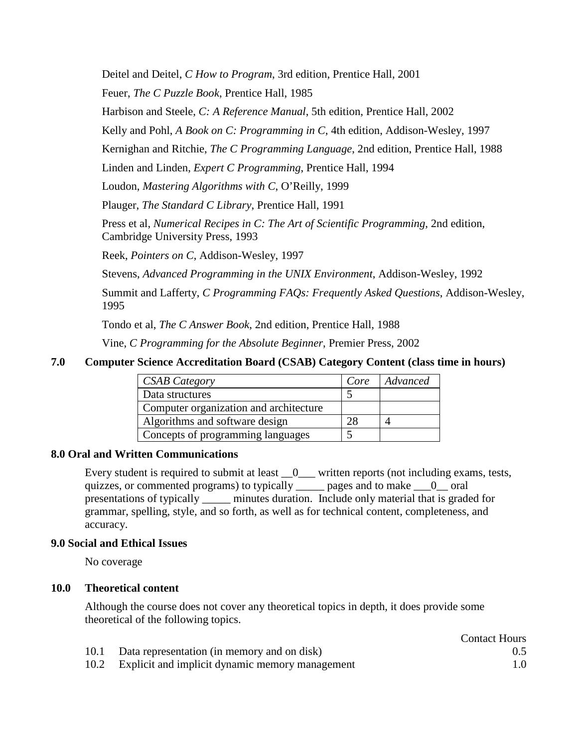Deitel and Deitel, *C How to Program*, 3rd edition, Prentice Hall, 2001

Feuer, *The C Puzzle Book*, Prentice Hall, 1985

Harbison and Steele, *C: A Reference Manual*, 5th edition, Prentice Hall, 2002

Kelly and Pohl, *A Book on C: Programming in C*, 4th edition, Addison-Wesley, 1997

Kernighan and Ritchie, *The C Programming Language*, 2nd edition, Prentice Hall, 1988

Linden and Linden, *Expert C Programming*, Prentice Hall, 1994

Loudon, *Mastering Algorithms with C*, O'Reilly, 1999

Plauger, *The Standard C Library*, Prentice Hall, 1991

Press et al, *Numerical Recipes in C: The Art of Scientific Programming*, 2nd edition, Cambridge University Press, 1993

Reek, *Pointers on C*, Addison-Wesley, 1997

Stevens, *Advanced Programming in the UNIX Environment*, Addison-Wesley, 1992

Summit and Lafferty, *C Programming FAQs: Frequently Asked Questions*, Addison-Wesley, 1995

Tondo et al, *The C Answer Book*, 2nd edition, Prentice Hall, 1988

Vine, *C Programming for the Absolute Beginner*, Premier Press, 2002

#### **7.0 Computer Science Accreditation Board (CSAB) Category Content (class time in hours)**

| <b>CSAB Category</b>                   | Core | Advanced |
|----------------------------------------|------|----------|
| Data structures                        |      |          |
| Computer organization and architecture |      |          |
| Algorithms and software design         |      |          |
| Concepts of programming languages      |      |          |

#### **8.0 Oral and Written Communications**

Every student is required to submit at least  $\_\_0$  written reports (not including exams, tests, quizzes, or commented programs) to typically \_\_\_\_\_ pages and to make \_\_\_0\_\_ oral presentations of typically \_\_\_\_\_ minutes duration. Include only material that is graded for grammar, spelling, style, and so forth, as well as for technical content, completeness, and accuracy.

#### **9.0 Social and Ethical Issues**

No coverage

## **10.0 Theoretical content**

Although the course does not cover any theoretical topics in depth, it does provide some theoretical of the following topics.

|                                                      | <b>Contact Hours</b> |
|------------------------------------------------------|----------------------|
| Data representation (in memory and on disk)          | 0.5                  |
| 10.2 Explicit and implicit dynamic memory management | 1.0                  |